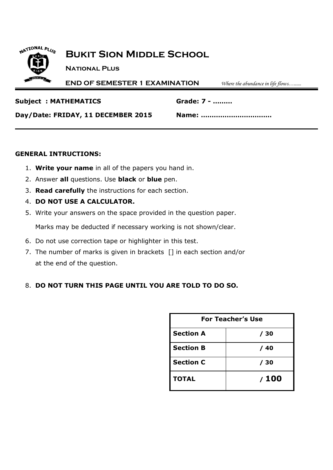

## **Bukit Sion Middle School**

**National Plus**

**END OF SEMESTER 1 EXAMINATION** *Where the abundance in life flows…......*

**Subject : MATHEMATICS Grade: 7 - ………**

**Day/Date: FRIDAY, 11 DECEMBER 2015 Name: ……………………………**

### **GENERAL INTRUCTIONS:**

- 1. **Write your name** in all of the papers you hand in.
- 2. Answer **all** questions. Use **black** or **blue** pen.
- 3. **Read carefully** the instructions for each section.
- 4. **DO NOT USE A CALCULATOR.**
- 5. Write your answers on the space provided in the question paper.

Marks may be deducted if necessary working is not shown/clear.

- 6. Do not use correction tape or highlighter in this test.
- 7. The number of marks is given in brackets [] in each section and/or at the end of the question.

## 8. **DO NOT TURN THIS PAGE UNTIL YOU ARE TOLD TO DO SO.**

| <b>For Teacher's Use</b> |      |  |
|--------------------------|------|--|
| <b>Section A</b>         | / 30 |  |
| <b>Section B</b>         | / 40 |  |
| <b>Section C</b>         | / 30 |  |
| <b>TOTAL</b>             | /100 |  |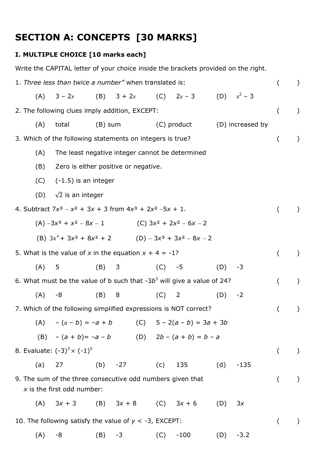# **SECTION A: CONCEPTS [30 MARKS]**

## **I. MULTIPLE CHOICE [10 marks each]**

Write the CAPITAL letter of your choice inside the brackets provided on the right.

|     | 1. Three less than twice a number" when translated is:                                     |           |                                                 |         |              |     |                  |          | $\left( \right)$ |
|-----|--------------------------------------------------------------------------------------------|-----------|-------------------------------------------------|---------|--------------|-----|------------------|----------|------------------|
| (A) | $3 - 2x$                                                                                   |           | (B) $3 + 2x$                                    |         | (C) $2x - 3$ |     | (D) $x^2 - 3$    |          |                  |
|     | 2. The following clues imply addition, EXCEPT:                                             |           |                                                 |         |              |     |                  | $\left($ | $\lambda$        |
| (A) | total                                                                                      | $(B)$ sum |                                                 |         | (C) product  |     | (D) increased by |          |                  |
|     | 3. Which of the following statements on integers is true?                                  |           |                                                 |         |              |     |                  | $\left($ | $\mathcal{L}$    |
| (A) |                                                                                            |           | The least negative integer cannot be determined |         |              |     |                  |          |                  |
| (B) |                                                                                            |           | Zero is either positive or negative.            |         |              |     |                  |          |                  |
| (C) | $(-1.5)$ is an integer                                                                     |           |                                                 |         |              |     |                  |          |                  |
| (D) | $\sqrt{2}$ is an integer                                                                   |           |                                                 |         |              |     |                  |          |                  |
|     | 4. Subtract $7x^3 - x^2 + 3x + 3$ from $4x^3 + 2x^2 - 5x + 1$ .                            |           |                                                 |         |              |     |                  |          | $\mathcal{L}$    |
|     | (A) $-3x^3 + x^2 - 8x - 1$ (C) $3x^2 + 2x^2 - 6x - 2$                                      |           |                                                 |         |              |     |                  |          |                  |
|     | (B) $3x^4 + 3x^3 + 8x^2 + 2$ (D) $-3x^3 + 3x^2 - 8x - 2$                                   |           |                                                 |         |              |     |                  |          |                  |
|     | 5. What is the value of x in the equation $x + 4 = -1$ ?                                   |           |                                                 |         |              |     |                  | $\left($ | $\mathcal{L}$    |
| (A) | 5                                                                                          | $(B)$ 3   |                                                 |         | $(C) -5$     | (D) | -3               |          |                  |
|     | 6. What must be the value of b such that $-3b^3$ will give a value of 24?                  |           |                                                 |         |              |     |                  | $\left($ | $\left( \right)$ |
| (A) | -8                                                                                         | $(B)$ 8   |                                                 | $(C)$ 2 |              | (D) | $-2$             |          |                  |
|     | 7. Which of the following simplified expressions is NOT correct?                           |           |                                                 |         |              |     |                  |          | $\left( \right)$ |
|     | (A) $-(a - b) = -a + b$ (C) $5 - 2(a - b) = 3a + 3b$                                       |           |                                                 |         |              |     |                  |          |                  |
|     | (B) $-(a + b) = -a - b$ (D) $2b - (a + b) = b - a$                                         |           |                                                 |         |              |     |                  |          |                  |
|     | 8. Evaluate: $(-3)^3 \times (-1)^5$                                                        |           |                                                 |         |              |     |                  | $\left($ | $\left( \right)$ |
| (a) | 27                                                                                         | (b) $-27$ | (C)                                             |         | 135          | (d) | $-135$           |          |                  |
|     | 9. The sum of the three consecutive odd numbers given that<br>$x$ is the first odd number: |           |                                                 |         |              |     |                  | $\left($ | $\lambda$        |
| (A) | $3x + 3$                                                                                   |           | (B) $3x + 8$ (C) $3x + 6$                       |         |              | (D) | 3x               |          |                  |
|     | 10. The following satisfy the value of $y < -3$ , EXCEPT:                                  |           |                                                 |         |              |     |                  |          | $\left( \right)$ |
| (A) | -8                                                                                         | (B)       | $-3$                                            | (C)     | $-100$       | (D) | $-3.2$           |          |                  |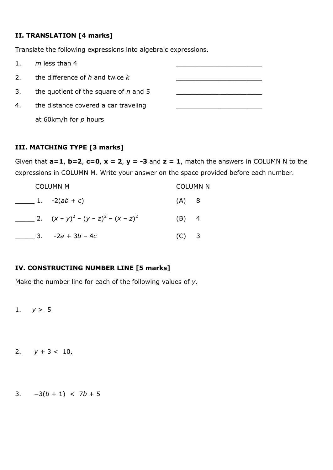## **II. TRANSLATION [4 marks]**

Translate the following expressions into algebraic expressions.

| 1 <sub>1</sub> | $m$ less than 4                         |  |
|----------------|-----------------------------------------|--|
| 2.             | the difference of h and twice k         |  |
| 3.             | the quotient of the square of $n$ and 5 |  |
| 4.             | the distance covered a car traveling    |  |
|                | at 60km/h for $p$ hours                 |  |

## **III. MATCHING TYPE [3 marks]**

Given that  $a=1$ ,  $b=2$ ,  $c=0$ ,  $x=2$ ,  $y=-3$  and  $z=1$ , match the answers in COLUMN N to the expressions in COLUMN M. Write your answer on the space provided before each number.

|  | <b>COLUMN M</b>                        |         | <b>COLUMN N</b> |
|--|----------------------------------------|---------|-----------------|
|  | 1. $-2(ab + c)$                        | (A) 8   |                 |
|  | 2. $(x - y)^2 - (y - z)^2 - (x - z)^2$ | $(B)$ 4 |                 |
|  | 3. $-2a + 3b - 4c$                     | $(C)$ 3 |                 |

## **IV. CONSTRUCTING NUMBER LINE [5 marks]**

Make the number line for each of the following values of *y*.

1.  $y \ge 5$ 

- 2.  $y + 3 < 10$ .
- 3.  $-3(b + 1) < 7b + 5$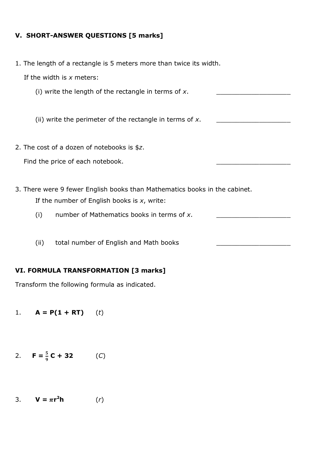#### **V. SHORT-ANSWER QUESTIONS [5 marks]**

1. The length of a rectangle is 5 meters more than twice its width.

If the width is *x* meters:

(i) write the length of the rectangle in terms of  $x$ .

(ii) write the perimeter of the rectangle in terms of x.

2. The cost of a dozen of notebooks is \$*z*.

Find the price of each notebook.

- 3. There were 9 fewer English books than Mathematics books in the cabinet. If the number of English books is *x*, write:
	- (i) number of Mathematics books in terms of x.
	- (ii) total number of English and Math books

#### **VI. FORMULA TRANSFORMATION [3 marks]**

Transform the following formula as indicated.

1.  $A = P(1 + RT)$  (*t*)

2. 
$$
F = \frac{5}{9}C + 32
$$
 (C)

3. **V** =  $\pi r^2 h$  $(r)$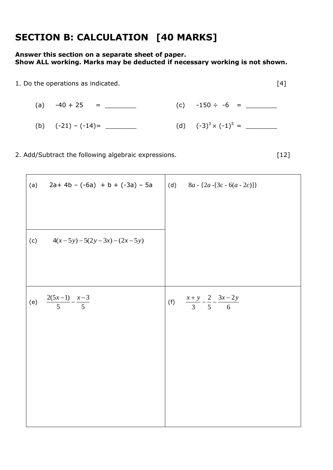## **SECTION B: CALCULATION [40 MARKS]**

### **Answer this section on a separate sheet of paper. Show ALL working. Marks may be deducted if necessary working is not shown.**



| (a) $-40 + 25 =$      | (c) $-150 \div -6 =$         |
|-----------------------|------------------------------|
| (b) $(-21) - (-14) =$ | (d) $(-3)^3 \times (-1)^5 =$ |

2. Add/Subtract the following algebraic expressions. [12]

| (c) $4(x-5y)-5(2y-3x)-(2x-5y)$                                                                    |  |
|---------------------------------------------------------------------------------------------------|--|
|                                                                                                   |  |
| $\frac{2(5x-1)}{5} - \frac{x-3}{5}$<br>(f) $\frac{x+y}{3} - \frac{2}{5} - \frac{3x-2y}{6}$<br>(e) |  |
|                                                                                                   |  |
|                                                                                                   |  |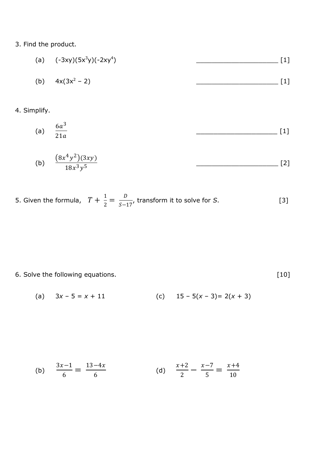## 3. Find the product.

| (a) $(-3xy)(5x^3y)(-2xy^4)$ |  |
|-----------------------------|--|
| (b) $4x(3x^2 - 2)$          |  |

## 4. Simplify.

(a) 
$$
\frac{6a^3}{21a}
$$
 [1]

(b) 
$$
\frac{(8x^4y^2)(3xy)}{18x^3y^5}
$$
 [2]

5. Given the formula, 
$$
T + \frac{1}{2} = \frac{D}{S-17}
$$
, transform it to solve for S. [3]

## 6. Solve the following equations. [10]

(a) 
$$
3x - 5 = x + 11
$$
   
 (c)  $15 - 5(x - 3) = 2(x + 3)$ 

(b) 
$$
\frac{3x-1}{6} = \frac{13-4x}{6}
$$
 (d) 
$$
\frac{x+2}{2} - \frac{x-7}{5} = \frac{x+4}{10}
$$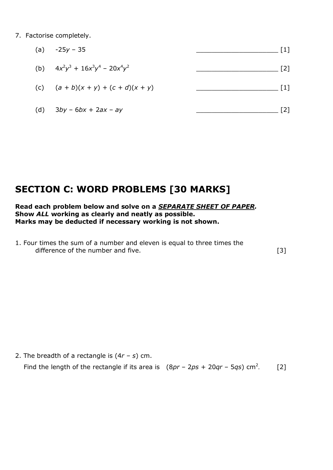7. Factorise completely.

|     | (a) $-25y - 35$                       | $\lceil 1 \rceil$ |
|-----|---------------------------------------|-------------------|
|     | (b) $4x^2y^3 + 16x^3y^4 - 20x^4y^2$   | [2                |
|     | (c) $(a + b)(x + y) + (c + d)(x + y)$ | [1]               |
| (d) | $3by - 6bx + 2ax - ay$                | ั21               |

## **SECTION C: WORD PROBLEMS [30 MARKS]**

#### **Read each problem below and solve on a** *SEPARATE SHEET OF PAPER.* **Show** *ALL* **working as clearly and neatly as possible. Marks may be deducted if necessary working is not shown.**

1. Four times the sum of a number and eleven is equal to three times the difference of the number and five. [3]

2. The breadth of a rectangle is (4*r – s*) cm. Find the length of the rectangle if its area is  $(8pr - 2ps + 20qr - 5qs)$  cm<sup>2</sup>. [2]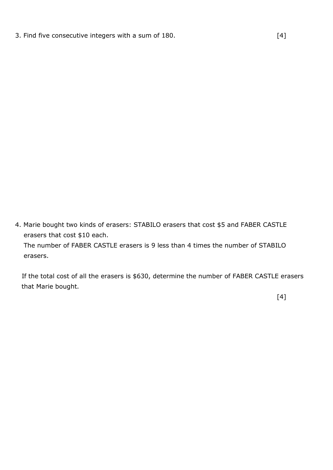3. Find five consecutive integers with a sum of 180. [4]

4. Marie bought two kinds of erasers: STABILO erasers that cost \$5 and FABER CASTLE erasers that cost \$10 each. The number of FABER CASTLE erasers is 9 less than 4 times the number of STABILO erasers.

 If the total cost of all the erasers is \$630, determine the number of FABER CASTLE erasers that Marie bought.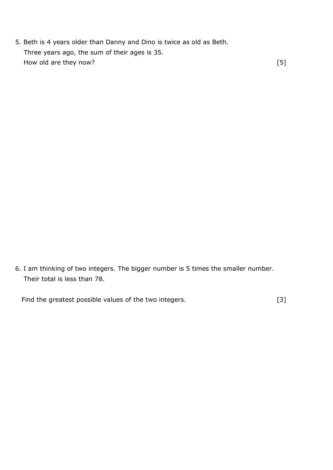5. Beth is 4 years older than Danny and Dino is twice as old as Beth. Three years ago, the sum of their ages is 35. How old are they now? [5]

6. I am thinking of two integers. The bigger number is 5 times the smaller number. Their total is less than 78.

Find the greatest possible values of the two integers. [3]